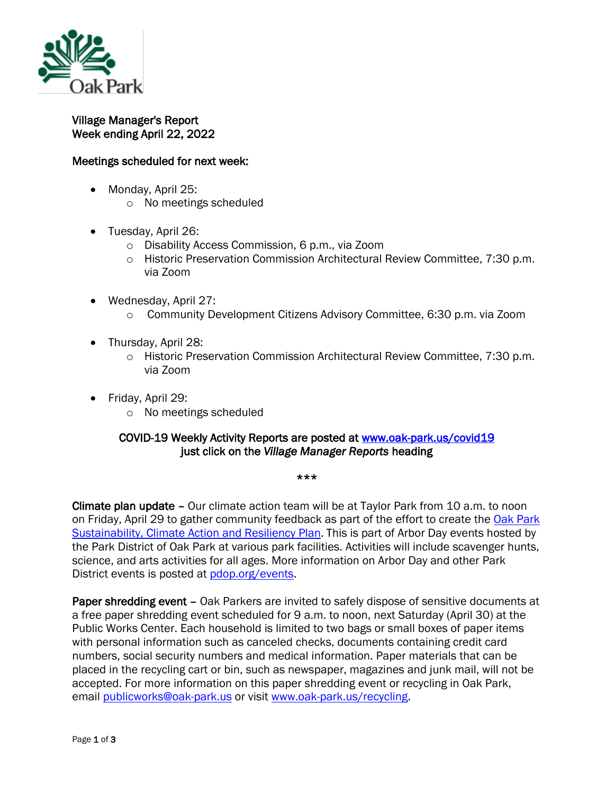

## Village Manager's Report Week ending April 22, 2022

## Meetings scheduled for next week:

- Monday, April 25:
	- o No meetings scheduled
- Tuesday, April 26:
	- o Disability Access Commission, 6 p.m., via Zoom
	- o Historic Preservation Commission Architectural Review Committee, 7:30 p.m. via Zoom
- Wednesday, April 27:
	- o Community Development Citizens Advisory Committee, 6:30 p.m. via Zoom
- Thursday, April 28:
	- o Historic Preservation Commission Architectural Review Committee, 7:30 p.m. via Zoom
- Friday, April 29:
	- o No meetings scheduled

## COVID-19 Weekly Activity Reports are posted at [www.oak-park.us/covid19](http://www.oak-park.us/covid19)  just click on the *Village Manager Reports* heading

\*\*\*

Climate plan update – Our climate action team will be at Taylor Park from 10 a.m. to noon on Friday, April 29 to gather community feedback as part of the effort to create the Oak [Park](https://graef.mysocialpinpoint.com/oak-park-climate-plan)  [Sustainability, Climate Action and Resiliency Plan.](https://graef.mysocialpinpoint.com/oak-park-climate-plan) This is part of Arbor Day events hosted by the Park District of Oak Park at various park facilities. Activities will include scavenger hunts, science, and arts activities for all ages. More information on Arbor Day and other Park District events is posted at [pdop.org/events.](https://www.pdop.org/events/)

Paper shredding event – Oak Parkers are invited to safely dispose of sensitive documents at a free paper shredding event scheduled for 9 a.m. to noon, next Saturday (April 30) at the Public Works Center. Each household is limited to two bags or small boxes of paper items with personal information such as canceled checks, documents containing credit card numbers, social security numbers and medical information. Paper materials that can be placed in the recycling cart or bin, such as newspaper, magazines and junk mail, will not be accepted. For more information on this paper shredding event or recycling in Oak Park, email [publicworks@oak-park.us](mailto:publicworks@oak-park.us) or visit [www.oak-park.us/recycling.](http://www.oak-park.us/recycling)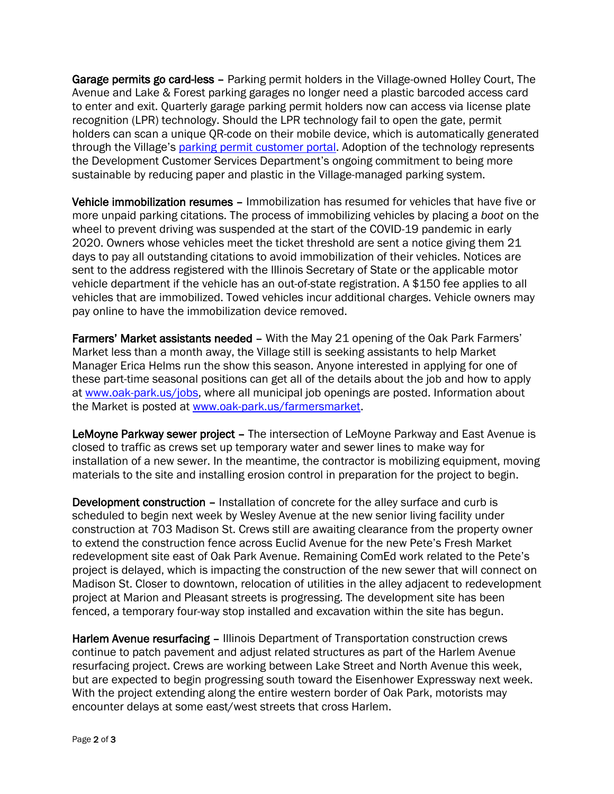Garage permits go card-less – Parking permit holders in the Village-owned Holley Court, The Avenue and Lake & Forest parking garages no longer need a plastic barcoded access card to enter and exit. Quarterly garage parking permit holders now can access via license plate recognition (LPR) technology. Should the LPR technology fail to open the gate, permit holders can scan a unique QR-code on their mobile device, which is automatically generated through the Village's [parking permit customer portal.](https://oakpark.cmrpay.com/permits/login) Adoption of the technology represents the Development Customer Services Department's ongoing commitment to being more sustainable by reducing paper and plastic in the Village-managed parking system.

Vehicle immobilization resumes – Immobilization has resumed for vehicles that have five or more unpaid parking citations. The process of immobilizing vehicles by placing a *boot* on the wheel to prevent driving was suspended at the start of the COVID-19 pandemic in early 2020. Owners whose vehicles meet the ticket threshold are sent a notice giving them 21 days to pay all outstanding citations to avoid immobilization of their vehicles. Notices are sent to the address registered with the Illinois Secretary of State or the applicable motor vehicle department if the vehicle has an out-of-state registration. A \$150 fee applies to all vehicles that are immobilized. Towed vehicles incur additional charges. Vehicle owners may pay online to have the immobilization device removed.

Farmers' Market assistants needed – With the May 21 opening of the Oak Park Farmers' Market less than a month away, the Village still is seeking assistants to help Market Manager Erica Helms run the show this season. Anyone interested in applying for one of these part-time seasonal positions can get all of the details about the job and how to apply at [www.oak-park.us/jobs,](http://www.oak-park.us/jobs?fbclid=IwAR1HQTs-qYKyYKZkoDVZMmHOAyed4uZ45qyUua7E5e7tOpWgaxoYyxbqWrk) where all municipal job openings are posted. Information about the Market is posted at [www.oak-park.us/farmersmarket.](http://www.oak-park.us/farmersmarket?fbclid=IwAR1j-SX5mY85kBSd4mpZxdIHlu_i0sioftLQ7Rj2bKkhPQyfn6NbVrHx7wE)

LeMoyne Parkway sewer project – The intersection of LeMoyne Parkway and East Avenue is closed to traffic as crews set up temporary water and sewer lines to make way for installation of a new sewer. In the meantime, the contractor is mobilizing equipment, moving materials to the site and installing erosion control in preparation for the project to begin.

Development construction – Installation of concrete for the alley surface and curb is scheduled to begin next week by Wesley Avenue at the new senior living facility under construction at 703 Madison St. Crews still are awaiting clearance from the property owner to extend the construction fence across Euclid Avenue for the new Pete's Fresh Market redevelopment site east of Oak Park Avenue. Remaining ComEd work related to the Pete's project is delayed, which is impacting the construction of the new sewer that will connect on Madison St. Closer to downtown, relocation of utilities in the alley adjacent to redevelopment project at Marion and Pleasant streets is progressing. The development site has been fenced, a temporary four-way stop installed and excavation within the site has begun.

Harlem Avenue resurfacing - Illinois Department of Transportation construction crews continue to patch pavement and adjust related structures as part of the Harlem Avenue resurfacing project. Crews are working between Lake Street and North Avenue this week, but are expected to begin progressing south toward the Eisenhower Expressway next week. With the project extending along the entire western border of Oak Park, motorists may encounter delays at some east/west streets that cross Harlem.